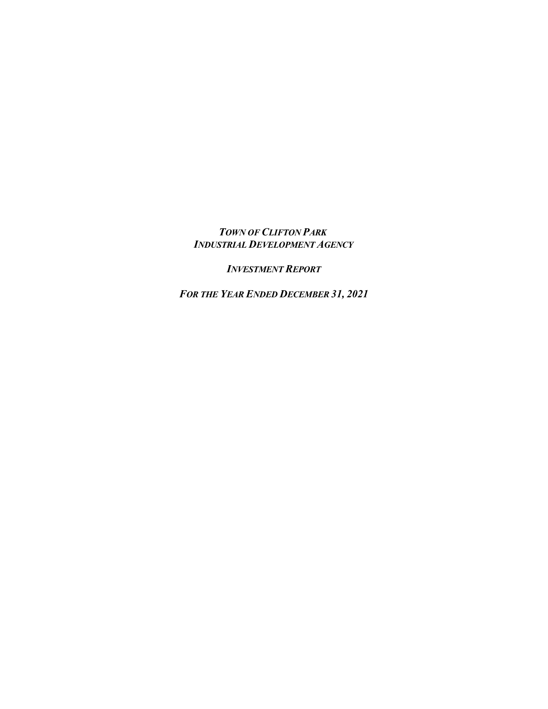## *TOWN OF CLIFTON PARK INDUSTRIAL DEVELOPMENT AGENCY*

*INVESTMENT REPORT*

*FOR THE YEAR ENDED DECEMBER 31, 2021*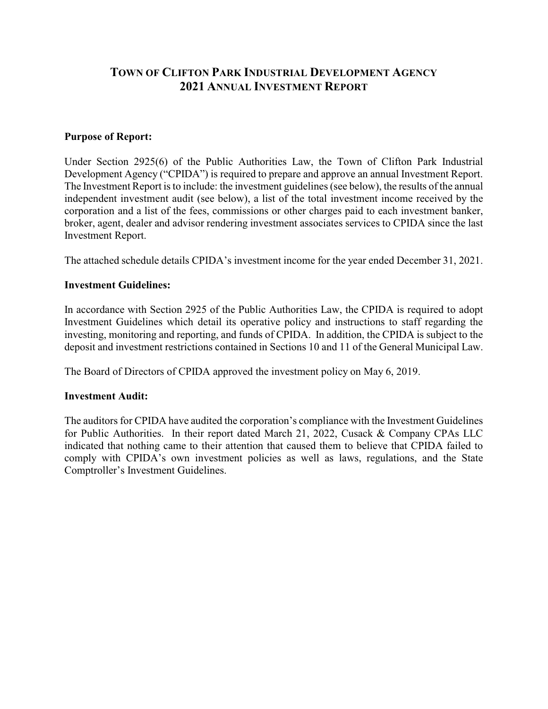# **TOWN OF CLIFTON PARK INDUSTRIAL DEVELOPMENT AGENCY 2021 ANNUAL INVESTMENT REPORT**

#### **Purpose of Report:**

Under Section 2925(6) of the Public Authorities Law, the Town of Clifton Park Industrial Development Agency ("CPIDA") is required to prepare and approve an annual Investment Report. The Investment Report is to include: the investment guidelines (see below), the results of the annual independent investment audit (see below), a list of the total investment income received by the corporation and a list of the fees, commissions or other charges paid to each investment banker, broker, agent, dealer and advisor rendering investment associates services to CPIDA since the last Investment Report.

The attached schedule details CPIDA's investment income for the year ended December 31, 2021.

### **Investment Guidelines:**

In accordance with Section 2925 of the Public Authorities Law, the CPIDA is required to adopt Investment Guidelines which detail its operative policy and instructions to staff regarding the investing, monitoring and reporting, and funds of CPIDA. In addition, the CPIDA is subject to the deposit and investment restrictions contained in Sections 10 and 11 of the General Municipal Law.

The Board of Directors of CPIDA approved the investment policy on May 6, 2019.

#### **Investment Audit:**

The auditors for CPIDA have audited the corporation's compliance with the Investment Guidelines for Public Authorities. In their report dated March 21, 2022, Cusack & Company CPAs LLC indicated that nothing came to their attention that caused them to believe that CPIDA failed to comply with CPIDA's own investment policies as well as laws, regulations, and the State Comptroller's Investment Guidelines.